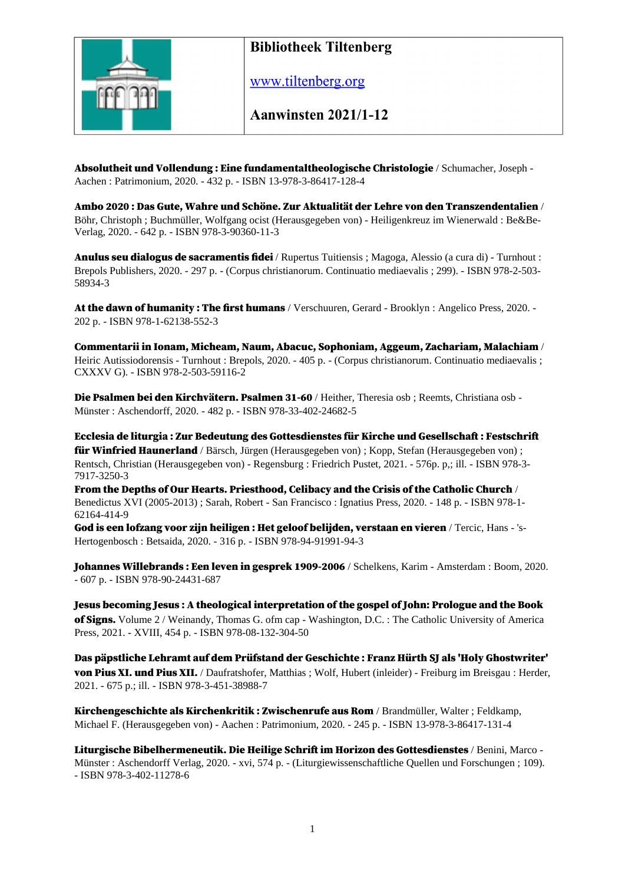

www.tiltenberg.org

**Aanwinsten 2021/1-12** 

Absolutheit und Vollendung : Eine fundamentaltheologische Christologie / Schumacher, Joseph - Aachen : Patrimonium, 2020. - 432 p. - ISBN 13-978-3-86417-128-4

Ambo 2020 : Das Gute, Wahre und Schöne. Zur Aktualität der Lehre von den Transzendentalien / Böhr, Christoph ; Buchmüller, Wolfgang ocist (Herausgegeben von) - Heiligenkreuz im Wienerwald : Be&Be-Verlag, 2020. - 642 p. - ISBN 978-3-90360-11-3

Anulus seu dialogus de sacramentis fidei / Rupertus Tuitiensis ; Magoga, Alessio (a cura di) - Turnhout : Brepols Publishers, 2020. - 297 p. - (Corpus christianorum. Continuatio mediaevalis ; 299). - ISBN 978-2-503- 58934-3

At the dawn of humanity: The first humans / Verschuuren, Gerard - Brooklyn: Angelico Press, 2020. -202 p. - ISBN 978-1-62138-552-3

Commentarii in Ionam, Micheam, Naum, Abacuc, Sophoniam, Aggeum, Zachariam, Malachiam / Heiric Autissiodorensis - Turnhout : Brepols, 2020. - 405 p. - (Corpus christianorum. Continuatio mediaevalis ; CXXXV G). - ISBN 978-2-503-59116-2

Die Psalmen bei den Kirchvätern. Psalmen 31-60 / Heither, Theresia osb ; Reemts, Christiana osb -Münster : Aschendorff, 2020. - 482 p. - ISBN 978-33-402-24682-5

Ecclesia de liturgia : Zur Bedeutung des Gottesdienstes für Kirche und Gesellschaft : Festschrift für Winfried Haunerland / Bärsch, Jürgen (Herausgegeben von) ; Kopp, Stefan (Herausgegeben von) ; Rentsch, Christian (Herausgegeben von) - Regensburg : Friedrich Pustet, 2021. - 576p. p,; ill. - ISBN 978-3- 7917-3250-3

From the Depths of Our Hearts. Priesthood, Celibacy and the Crisis of the Catholic Church / Benedictus XVI (2005-2013) ; Sarah, Robert - San Francisco : Ignatius Press, 2020. - 148 p. - ISBN 978-1- 62164-414-9

God is een lofzang voor zijn heiligen : Het geloof belijden, verstaan en vieren / Tercic, Hans - 's-Hertogenbosch : Betsaida, 2020. - 316 p. - ISBN 978-94-91991-94-3

Johannes Willebrands : Een leven in gesprek 1909-2006 / Schelkens, Karim - Amsterdam : Boom, 2020. - 607 p. - ISBN 978-90-24431-687

Jesus becoming Jesus : A theological interpretation of the gospel of John: Prologue and the Book of Signs. Volume 2 / Weinandy, Thomas G. ofm cap - Washington, D.C. : The Catholic University of America Press, 2021. - XVIII, 454 p. - ISBN 978-08-132-304-50

Das päpstliche Lehramt auf dem Prüfstand der Geschichte : Franz Hürth SJ als 'Holy Ghostwriter' von Pius XI. und Pius XII. / Daufratshofer, Matthias ; Wolf, Hubert (inleider) - Freiburg im Breisgau : Herder, 2021. - 675 p.; ill. - ISBN 978-3-451-38988-7

Kirchengeschichte als Kirchenkritik : Zwischenrufe aus Rom / Brandmüller, Walter ; Feldkamp, Michael F. (Herausgegeben von) - Aachen : Patrimonium, 2020. - 245 p. - ISBN 13-978-3-86417-131-4

Liturgische Bibelhermeneutik. Die Heilige Schrift im Horizon des Gottesdienstes / Benini, Marco -Münster : Aschendorff Verlag, 2020. - xvi, 574 p. - (Liturgiewissenschaftliche Quellen und Forschungen ; 109). - ISBN 978-3-402-11278-6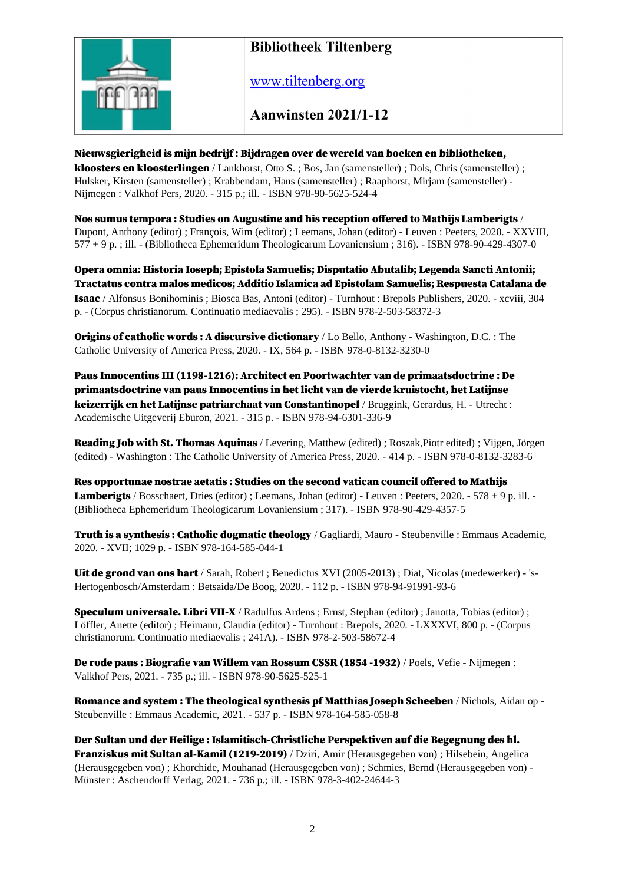

www.tiltenberg.org

**Aanwinsten 2021/1-12** 

#### Nieuwsgierigheid is mijn bedrijf : Bijdragen over de wereld van boeken en bibliotheken,

kloosters en kloosterlingen / Lankhorst, Otto S. ; Bos, Jan (samensteller) ; Dols, Chris (samensteller) ; Hulsker, Kirsten (samensteller) ; Krabbendam, Hans (samensteller) ; Raaphorst, Mirjam (samensteller) - Nijmegen : Valkhof Pers, 2020. - 315 p.; ill. - ISBN 978-90-5625-524-4

Nos sumus tempora : Studies on Augustine and his reception offered to Mathijs Lamberigts / Dupont, Anthony (editor) ; François, Wim (editor) ; Leemans, Johan (editor) - Leuven : Peeters, 2020. - XXVIII, 577 + 9 p. ; ill. - (Bibliotheca Ephemeridum Theologicarum Lovaniensium ; 316). - ISBN 978-90-429-4307-0

Opera omnia: Historia Ioseph; Epistola Samuelis; Disputatio Abutalib; Legenda Sancti Antonii; Tractatus contra malos medicos; Additio Islamica ad Epistolam Samuelis; Respuesta Catalana de Isaac / Alfonsus Bonihominis ; Biosca Bas, Antoni (editor) - Turnhout : Brepols Publishers, 2020. - xcviii, 304 p. - (Corpus christianorum. Continuatio mediaevalis ; 295). - ISBN 978-2-503-58372-3

Origins of catholic words : A discursive dictionary / Lo Bello, Anthony - Washington, D.C. : The Catholic University of America Press, 2020. - IX, 564 p. - ISBN 978-0-8132-3230-0

Paus Innocentius III (1198-1216): Architect en Poortwachter van de primaatsdoctrine : De primaatsdoctrine van paus Innocentius in het licht van de vierde kruistocht, het Latijnse keizerrijk en het Latijnse patriarchaat van Constantinopel / Bruggink, Gerardus, H. - Utrecht : Academische Uitgeverij Eburon, 2021. - 315 p. - ISBN 978-94-6301-336-9

Reading Job with St. Thomas Aquinas / Levering, Matthew (edited) ; Roszak,Piotr edited) ; Vijgen, Jörgen (edited) - Washington : The Catholic University of America Press, 2020. - 414 p. - ISBN 978-0-8132-3283-6

Res opportunae nostrae aetatis : Studies on the second vatican council offered to Mathijs Lamberigts / Bosschaert, Dries (editor) ; Leemans, Johan (editor) - Leuven : Peeters, 2020. - 578 + 9 p. ill. -(Bibliotheca Ephemeridum Theologicarum Lovaniensium ; 317). - ISBN 978-90-429-4357-5

Truth is a synthesis : Catholic dogmatic theology / Gagliardi, Mauro - Steubenville : Emmaus Academic, 2020. - XVII; 1029 p. - ISBN 978-164-585-044-1

Uit de grond van ons hart / Sarah, Robert ; Benedictus XVI (2005-2013) ; Diat, Nicolas (medewerker) - 's-Hertogenbosch/Amsterdam : Betsaida/De Boog, 2020. - 112 p. - ISBN 978-94-91991-93-6

Speculum universale. Libri VII-X / Radulfus Ardens ; Ernst, Stephan (editor) ; Janotta, Tobias (editor) ; Löffler, Anette (editor) ; Heimann, Claudia (editor) - Turnhout : Brepols, 2020. - LXXXVI, 800 p. - (Corpus christianorum. Continuatio mediaevalis ; 241A). - ISBN 978-2-503-58672-4

De rode paus : Biografie van Willem van Rossum CSSR (1854 -1932) / Poels, Vefie - Nijmegen : Valkhof Pers, 2021. - 735 p.; ill. - ISBN 978-90-5625-525-1

Romance and system : The theological synthesis pf Matthias Joseph Scheeben / Nichols, Aidan op - Steubenville : Emmaus Academic, 2021. - 537 p. - ISBN 978-164-585-058-8

Der Sultan und der Heilige : Islamitisch-Christliche Perspektiven auf die Begegnung des hl. Franziskus mit Sultan al-Kamil (1219-2019) / Dziri, Amir (Herausgegeben von) ; Hilsebein, Angelica (Herausgegeben von) ; Khorchide, Mouhanad (Herausgegeben von) ; Schmies, Bernd (Herausgegeben von) - Münster : Aschendorff Verlag, 2021. - 736 p.; ill. - ISBN 978-3-402-24644-3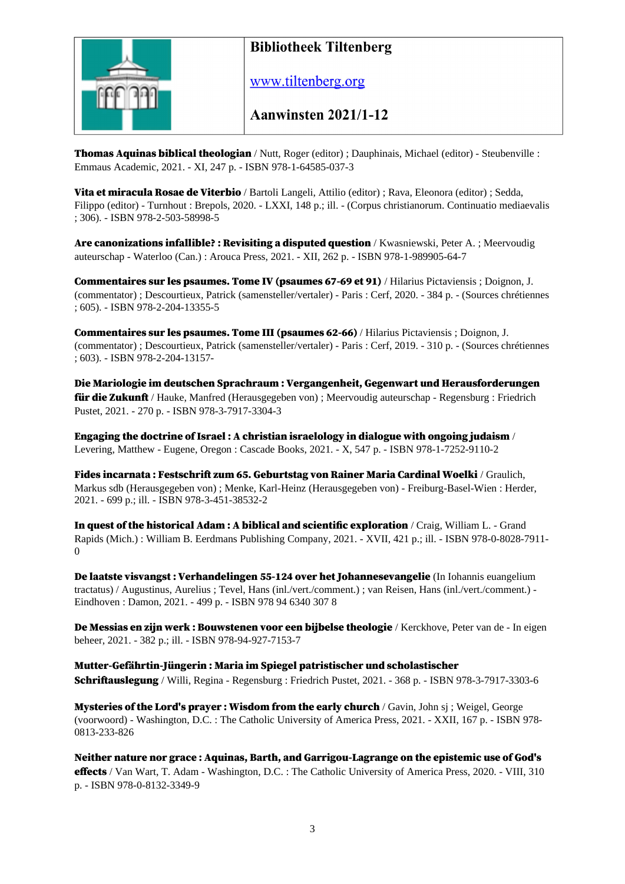

www.tiltenberg.org

**Aanwinsten 2021/1-12** 

Thomas Aquinas biblical theologian / Nutt, Roger (editor) ; Dauphinais, Michael (editor) - Steubenville : Emmaus Academic, 2021. - XI, 247 p. - ISBN 978-1-64585-037-3

Vita et miracula Rosae de Viterbio / Bartoli Langeli, Attilio (editor) ; Rava, Eleonora (editor) ; Sedda, Filippo (editor) - Turnhout : Brepols, 2020. - LXXI, 148 p.; ill. - (Corpus christianorum. Continuatio mediaevalis ; 306). - ISBN 978-2-503-58998-5

Are canonizations infallible? : Revisiting a disputed question / Kwasniewski, Peter A. ; Meervoudig auteurschap - Waterloo (Can.) : Arouca Press, 2021. - XII, 262 p. - ISBN 978-1-989905-64-7

Commentaires sur les psaumes. Tome IV (psaumes 67-69 et 91) / Hilarius Pictaviensis ; Doignon, J. (commentator) ; Descourtieux, Patrick (samensteller/vertaler) - Paris : Cerf, 2020. - 384 p. - (Sources chrétiennes ; 605). - ISBN 978-2-204-13355-5

Commentaires sur les psaumes. Tome III (psaumes 62-66) / Hilarius Pictaviensis ; Doignon, J. (commentator) ; Descourtieux, Patrick (samensteller/vertaler) - Paris : Cerf, 2019. - 310 p. - (Sources chrétiennes ; 603). - ISBN 978-2-204-13157-

Die Mariologie im deutschen Sprachraum : Vergangenheit, Gegenwart und Herausforderungen für die Zukunft / Hauke, Manfred (Herausgegeben von) ; Meervoudig auteurschap - Regensburg : Friedrich Pustet, 2021. - 270 p. - ISBN 978-3-7917-3304-3

Engaging the doctrine of Israel : A christian israelology in dialogue with ongoing judaism / Levering, Matthew - Eugene, Oregon : Cascade Books, 2021. - X, 547 p. - ISBN 978-1-7252-9110-2

Fides incarnata : Festschrift zum 65. Geburtstag von Rainer Maria Cardinal Woelki / Graulich, Markus sdb (Herausgegeben von) ; Menke, Karl-Heinz (Herausgegeben von) - Freiburg-Basel-Wien : Herder, 2021. - 699 p.; ill. - ISBN 978-3-451-38532-2

In quest of the historical Adam : A biblical and scientific exploration / Craig, William L. - Grand Rapids (Mich.) : William B. Eerdmans Publishing Company, 2021. - XVII, 421 p.; ill. - ISBN 978-0-8028-7911-  $\Omega$ 

De laatste visvangst : Verhandelingen 55-124 over het Johannesevangelie (In Iohannis euangelium tractatus) / Augustinus, Aurelius ; Tevel, Hans (inl./vert./comment.) ; van Reisen, Hans (inl./vert./comment.) - Eindhoven : Damon, 2021. - 499 p. - ISBN 978 94 6340 307 8

De Messias en zijn werk : Bouwstenen voor een bijbelse theologie / Kerckhove, Peter van de - In eigen beheer, 2021. - 382 p.; ill. - ISBN 978-94-927-7153-7

Mutter-Gefährtin-Jüngerin : Maria im Spiegel patristischer und scholastischer Schriftauslegung / Willi, Regina - Regensburg : Friedrich Pustet, 2021. - 368 p. - ISBN 978-3-7917-3303-6

Mysteries of the Lord's prayer : Wisdom from the early church / Gavin, John sj ; Weigel, George (voorwoord) - Washington, D.C. : The Catholic University of America Press, 2021. - XXII, 167 p. - ISBN 978- 0813-233-826

Neither nature nor grace : Aquinas, Barth, and Garrigou-Lagrange on the epistemic use of God's effects / Van Wart, T. Adam - Washington, D.C. : The Catholic University of America Press, 2020. - VIII, 310 p. - ISBN 978-0-8132-3349-9